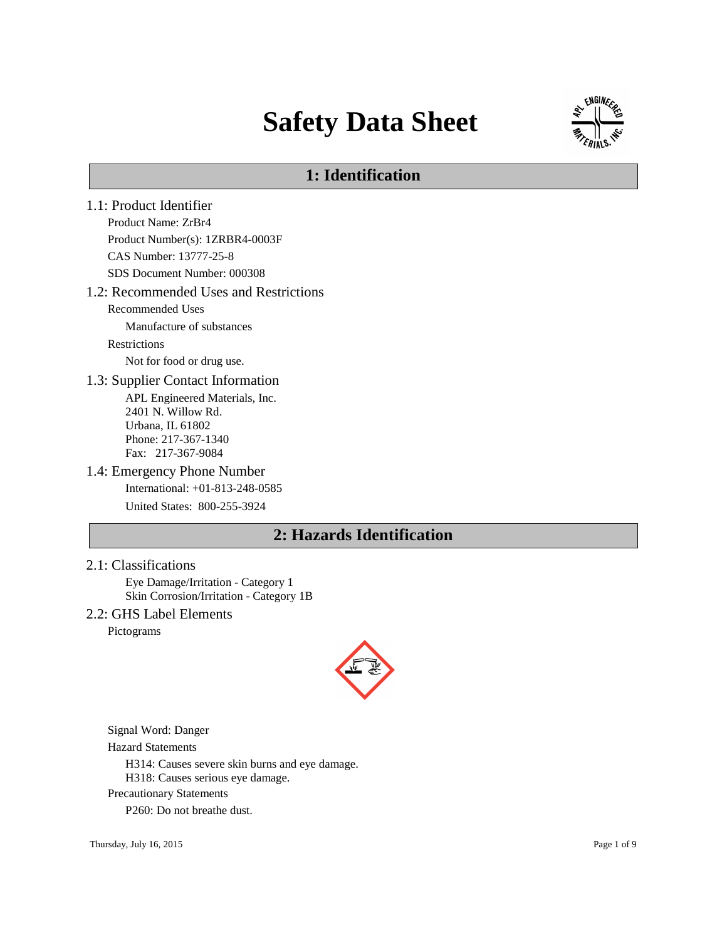# **Safety Data Sheet**



# **1: Identification**

1.1: Product Identifier Product Name: ZrBr4 Product Number(s): 1ZRBR4-0003F CAS Number: 13777-25-8 SDS Document Number: 000308 1.2: Recommended Uses and Restrictions Recommended Uses Manufacture of substances Restrictions Not for food or drug use. 1.3: Supplier Contact Information APL Engineered Materials, Inc. 2401 N. Willow Rd. Urbana, IL 61802 Phone: 217-367-1340 Fax: 217-367-9084 1.4: Emergency Phone Number International: +01-813-248-0585 United States: 800-255-3924 **2: Hazards Identification**

### 2.1: Classifications

Eye Damage/Irritation - Category 1 Skin Corrosion/Irritation - Category 1B

### 2.2: GHS Label Elements

Pictograms



Signal Word: Danger

Hazard Statements

H314: Causes severe skin burns and eye damage.

H318: Causes serious eye damage.

Precautionary Statements

P260: Do not breathe dust.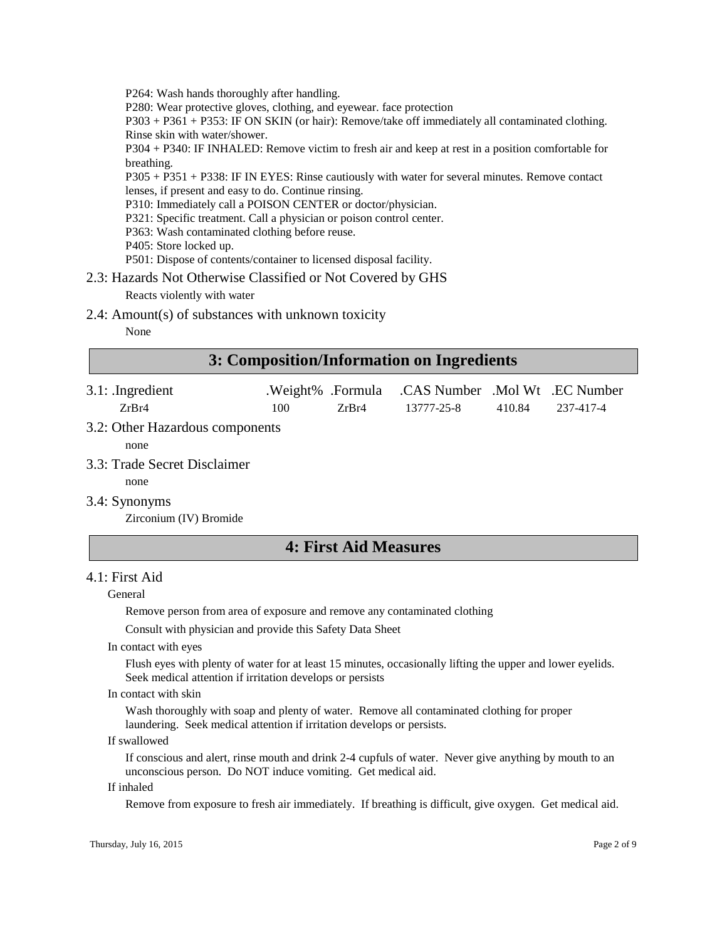P264: Wash hands thoroughly after handling.

P280: Wear protective gloves, clothing, and eyewear. face protection

P303 + P361 + P353: IF ON SKIN (or hair): Remove/take off immediately all contaminated clothing. Rinse skin with water/shower.

P304 + P340: IF INHALED: Remove victim to fresh air and keep at rest in a position comfortable for breathing.

P305 + P351 + P338: IF IN EYES: Rinse cautiously with water for several minutes. Remove contact lenses, if present and easy to do. Continue rinsing.

P310: Immediately call a POISON CENTER or doctor/physician.

P321: Specific treatment. Call a physician or poison control center.

- P363: Wash contaminated clothing before reuse.
- P405: Store locked up.

P501: Dispose of contents/container to licensed disposal facility.

#### 2.3: Hazards Not Otherwise Classified or Not Covered by GHS

Reacts violently with water

2.4: Amount(s) of substances with unknown toxicity

None

# **3: Composition/Information on Ingredients**

| $3.1:$ . Ingredient                               | .Weight% .Formula .CAS Number .Mol Wt .EC Number |            |        |           |
|---------------------------------------------------|--------------------------------------------------|------------|--------|-----------|
| ZrBr4                                             | ZrBr4<br>100                                     | 13777-25-8 | 410.84 | 237-417-4 |
| $\bigcap$ $\bigcap$ $\bigcap$ $\bigcap$ $\bigcap$ |                                                  |            |        |           |

3.2: Other Hazardous components

none

- 3.3: Trade Secret Disclaimer
	- none

#### 3.4: Synonyms

Zirconium (IV) Bromide

# **4: First Aid Measures**

# 4.1: First Aid

### General

Remove person from area of exposure and remove any contaminated clothing

Consult with physician and provide this Safety Data Sheet

In contact with eyes

Flush eyes with plenty of water for at least 15 minutes, occasionally lifting the upper and lower eyelids. Seek medical attention if irritation develops or persists

In contact with skin

Wash thoroughly with soap and plenty of water. Remove all contaminated clothing for proper laundering. Seek medical attention if irritation develops or persists.

#### If swallowed

If conscious and alert, rinse mouth and drink 2-4 cupfuls of water. Never give anything by mouth to an unconscious person. Do NOT induce vomiting. Get medical aid.

#### If inhaled

Remove from exposure to fresh air immediately. If breathing is difficult, give oxygen. Get medical aid.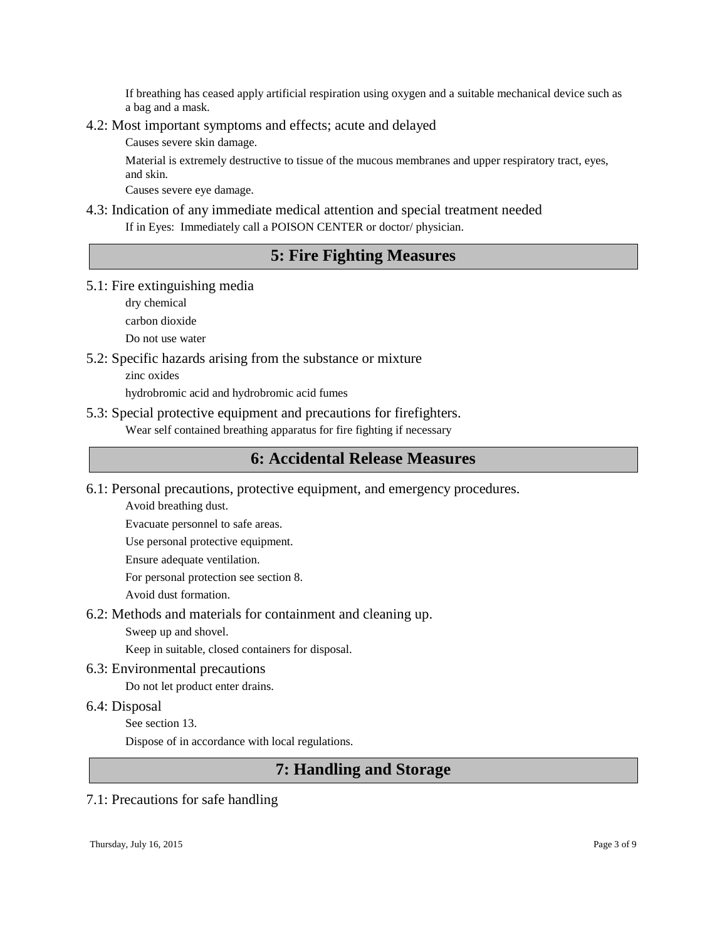If breathing has ceased apply artificial respiration using oxygen and a suitable mechanical device such as a bag and a mask.

# 4.2: Most important symptoms and effects; acute and delayed

Causes severe skin damage.

Material is extremely destructive to tissue of the mucous membranes and upper respiratory tract, eyes, and skin.

Causes severe eye damage.

4.3: Indication of any immediate medical attention and special treatment needed

If in Eyes: Immediately call a POISON CENTER or doctor/ physician.

# **5: Fire Fighting Measures**

5.1: Fire extinguishing media

dry chemical

carbon dioxide

Do not use water

5.2: Specific hazards arising from the substance or mixture

zinc oxides

hydrobromic acid and hydrobromic acid fumes

5.3: Special protective equipment and precautions for firefighters.

Wear self contained breathing apparatus for fire fighting if necessary

# **6: Accidental Release Measures**

6.1: Personal precautions, protective equipment, and emergency procedures.

Avoid breathing dust.

Evacuate personnel to safe areas.

Use personal protective equipment.

Ensure adequate ventilation.

For personal protection see section 8.

Avoid dust formation.

# 6.2: Methods and materials for containment and cleaning up.

Sweep up and shovel.

Keep in suitable, closed containers for disposal.

6.3: Environmental precautions

Do not let product enter drains.

# 6.4: Disposal

See section 13.

Dispose of in accordance with local regulations.

# **7: Handling and Storage**

# 7.1: Precautions for safe handling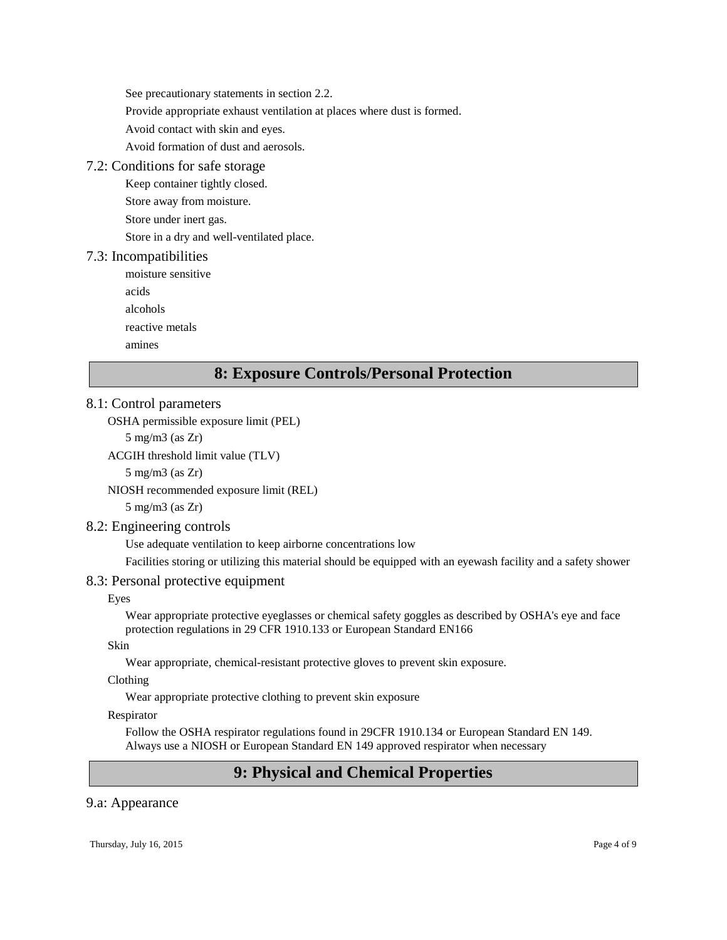See precautionary statements in section 2.2. Provide appropriate exhaust ventilation at places where dust is formed. Avoid contact with skin and eyes. Avoid formation of dust and aerosols.

### 7.2: Conditions for safe storage

Keep container tightly closed. Store away from moisture. Store under inert gas. Store in a dry and well-ventilated place.

### 7.3: Incompatibilities

moisture sensitive acids alcohols reactive metals

amines

# **8: Exposure Controls/Personal Protection**

### 8.1: Control parameters

OSHA permissible exposure limit (PEL)

5 mg/m3 (as Zr)

ACGIH threshold limit value (TLV)

5 mg/m3 (as Zr)

NIOSH recommended exposure limit (REL)

5 mg/m3 (as Zr)

#### 8.2: Engineering controls

Use adequate ventilation to keep airborne concentrations low

Facilities storing or utilizing this material should be equipped with an eyewash facility and a safety shower

#### 8.3: Personal protective equipment

Eyes

Wear appropriate protective eyeglasses or chemical safety goggles as described by OSHA's eye and face protection regulations in 29 CFR 1910.133 or European Standard EN166

### Skin

Wear appropriate, chemical-resistant protective gloves to prevent skin exposure.

Clothing

Wear appropriate protective clothing to prevent skin exposure

#### Respirator

Follow the OSHA respirator regulations found in 29CFR 1910.134 or European Standard EN 149. Always use a NIOSH or European Standard EN 149 approved respirator when necessary

# **9: Physical and Chemical Properties**

# 9.a: Appearance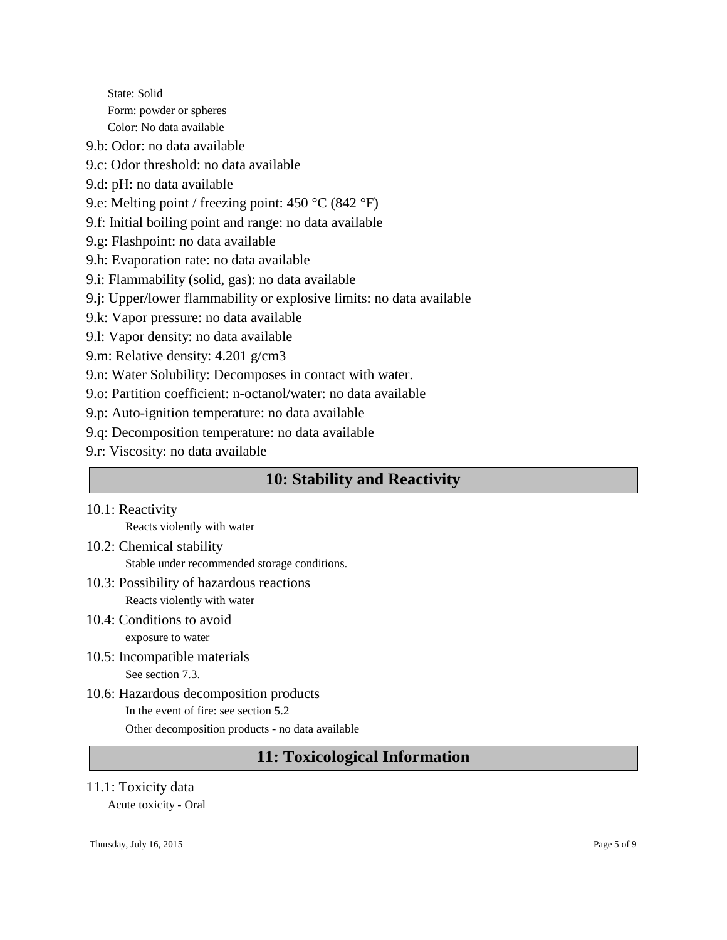State: Solid Form: powder or spheres Color: No data available

- 9.b: Odor: no data available
- 9.c: Odor threshold: no data available
- 9.d: pH: no data available
- 9.e: Melting point / freezing point: 450 °C (842 °F)
- 9.f: Initial boiling point and range: no data available
- 9.g: Flashpoint: no data available
- 9.h: Evaporation rate: no data available
- 9.i: Flammability (solid, gas): no data available
- 9.j: Upper/lower flammability or explosive limits: no data available
- 9.k: Vapor pressure: no data available
- 9.l: Vapor density: no data available
- 9.m: Relative density: 4.201 g/cm3
- 9.n: Water Solubility: Decomposes in contact with water.
- 9.o: Partition coefficient: n-octanol/water: no data available
- 9.p: Auto-ignition temperature: no data available
- 9.q: Decomposition temperature: no data available
- 9.r: Viscosity: no data available

# **10: Stability and Reactivity**

10.1: Reactivity

Reacts violently with water

- 10.2: Chemical stability Stable under recommended storage conditions.
- 10.3: Possibility of hazardous reactions Reacts violently with water
- 10.4: Conditions to avoid exposure to water
- 10.5: Incompatible materials See section 7.3.
- 10.6: Hazardous decomposition products In the event of fire: see section 5.2 Other decomposition products - no data available

# **11: Toxicological Information**

11.1: Toxicity data

Acute toxicity - Oral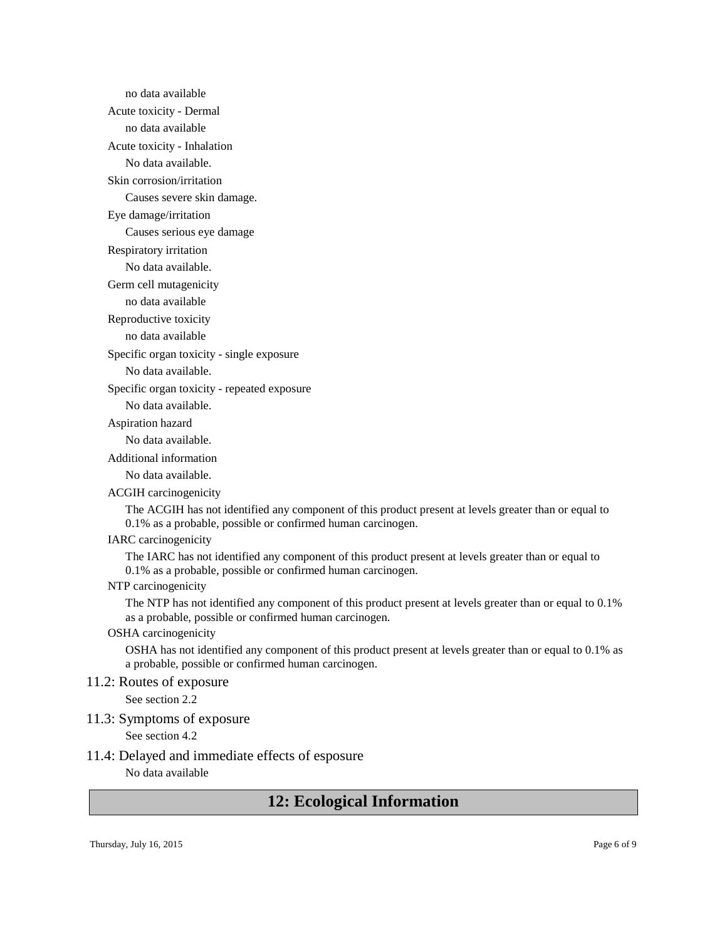no data available Acute toxicity - Dermal no data available Acute toxicity - Inhalation No data available. Skin corrosion/irritation Causes severe skin damage. Eye damage/irritation Causes serious eye damage Respiratory irritation No data available. Germ cell mutagenicity no data available Reproductive toxicity no data available Specific organ toxicity - single exposure

No data available.

Specific organ toxicity - repeated exposure

No data available.

Aspiration hazard

No data available.

Additional information

No data available.

ACGIH carcinogenicity

The ACGIH has not identified any component of this product present at levels greater than or equal to 0.1% as a probable, possible or confirmed human carcinogen.

#### IARC carcinogenicity

The IARC has not identified any component of this product present at levels greater than or equal to 0.1% as a probable, possible or confirmed human carcinogen.

#### NTP carcinogenicity

The NTP has not identified any component of this product present at levels greater than or equal to 0.1% as a probable, possible or confirmed human carcinogen.

### OSHA carcinogenicity

OSHA has not identified any component of this product present at levels greater than or equal to 0.1% as a probable, possible or confirmed human carcinogen.

#### 11.2: Routes of exposure

See section 2.2

#### 11.3: Symptoms of exposure

See section 4.2

#### 11.4: Delayed and immediate effects of esposure

No data available

# **12: Ecological Information**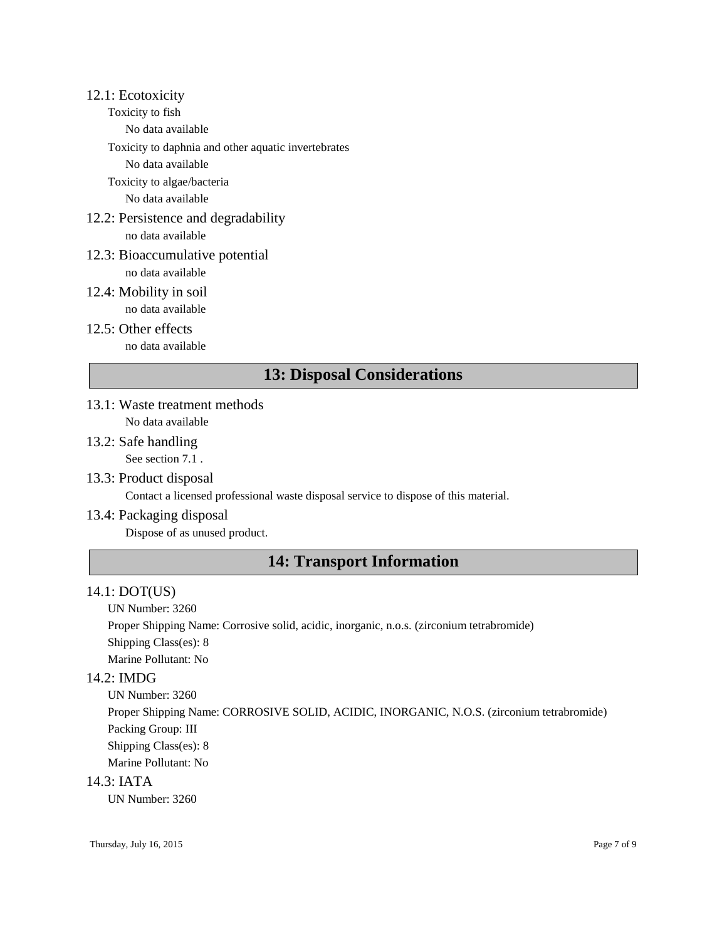### 12.1: Ecotoxicity

- Toxicity to fish
	- No data available

Toxicity to daphnia and other aquatic invertebrates

No data available

Toxicity to algae/bacteria

No data available

- 12.2: Persistence and degradability no data available
- 12.3: Bioaccumulative potential

no data available

- 12.4: Mobility in soil no data available
- 12.5: Other effects

no data available

# **13: Disposal Considerations**

- 13.1: Waste treatment methods No data available
- 13.2: Safe handling See section 7.1 .
- 13.3: Product disposal

Contact a licensed professional waste disposal service to dispose of this material.

13.4: Packaging disposal

Dispose of as unused product.

# **14: Transport Information**

# 14.1: DOT(US)

UN Number: 3260

Proper Shipping Name: Corrosive solid, acidic, inorganic, n.o.s. (zirconium tetrabromide) Shipping Class(es): 8

Marine Pollutant: No

# 14.2: IMDG

UN Number: 3260

Proper Shipping Name: CORROSIVE SOLID, ACIDIC, INORGANIC, N.O.S. (zirconium tetrabromide) Packing Group: III

Shipping Class(es): 8

Marine Pollutant: No

#### 14.3: IATA

UN Number: 3260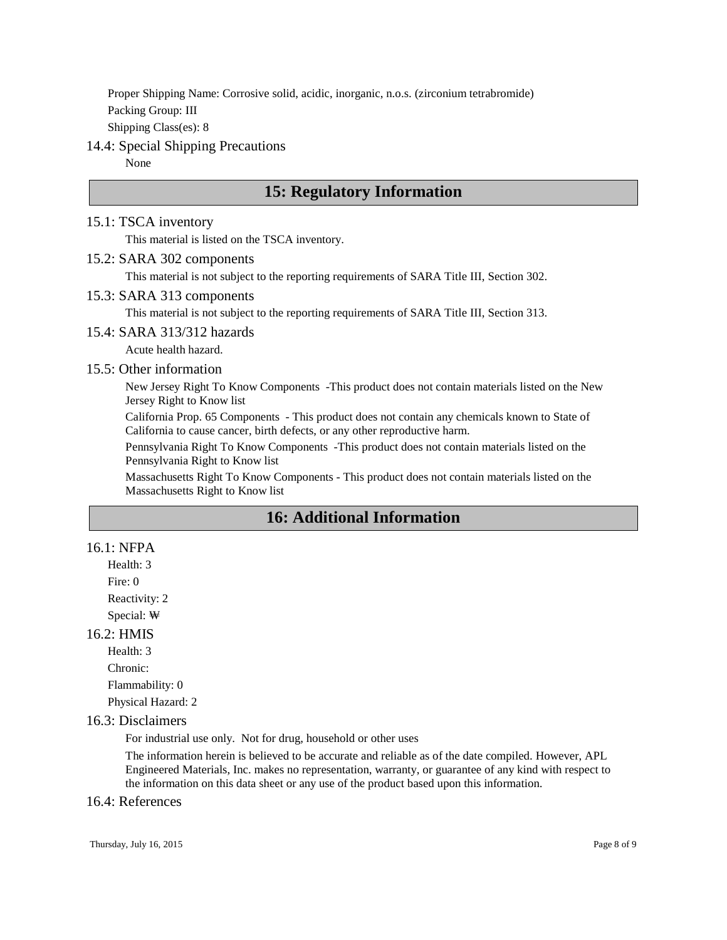Proper Shipping Name: Corrosive solid, acidic, inorganic, n.o.s. (zirconium tetrabromide) Packing Group: III

Shipping Class(es): 8

# 14.4: Special Shipping Precautions

None

# **15: Regulatory Information**

# 15.1: TSCA inventory

This material is listed on the TSCA inventory.

#### 15.2: SARA 302 components

This material is not subject to the reporting requirements of SARA Title III, Section 302.

#### 15.3: SARA 313 components

This material is not subject to the reporting requirements of SARA Title III, Section 313.

### 15.4: SARA 313/312 hazards

Acute health hazard.

### 15.5: Other information

New Jersey Right To Know Components -This product does not contain materials listed on the New Jersey Right to Know list

California Prop. 65 Components - This product does not contain any chemicals known to State of California to cause cancer, birth defects, or any other reproductive harm.

Pennsylvania Right To Know Components -This product does not contain materials listed on the Pennsylvania Right to Know list

Massachusetts Right To Know Components - This product does not contain materials listed on the Massachusetts Right to Know list

# **16: Additional Information**

# 16.1: NFPA

Health: 3 Fire: 0 Reactivity: 2 Special: ₩

#### 16.2: HMIS

Health: 3 Chronic: Flammability: 0 Physical Hazard: 2

#### 16.3: Disclaimers

For industrial use only. Not for drug, household or other uses

The information herein is believed to be accurate and reliable as of the date compiled. However, APL Engineered Materials, Inc. makes no representation, warranty, or guarantee of any kind with respect to the information on this data sheet or any use of the product based upon this information.

#### 16.4: References

Thursday, July 16, 2015  $\qquad \qquad$  Page 8 of 9